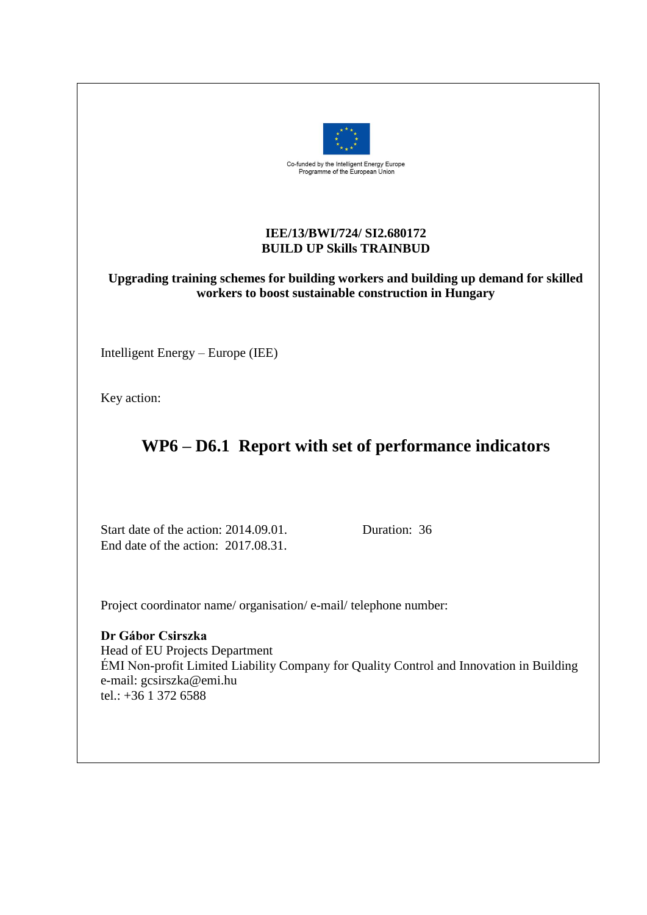

#### **IEE/13/BWI/724/ SI2.680172 BUILD UP Skills TRAINBUD**

### **Upgrading training schemes for building workers and building up demand for skilled workers to boost sustainable construction in Hungary**

Intelligent Energy – Europe (IEE)

Key action:

# **WP6 – D6.1 Report with set of performance indicators**

Start date of the action: 2014.09.01. Duration: 36 End date of the action: 2017.08.31.

Project coordinator name/ organisation/ e-mail/ telephone number:

**Dr Gábor Csirszka** Head of EU Projects Department ÉMI Non-profit Limited Liability Company for Quality Control and Innovation in Building e-mail: gcsirszka@emi.hu tel.: +36 1 372 6588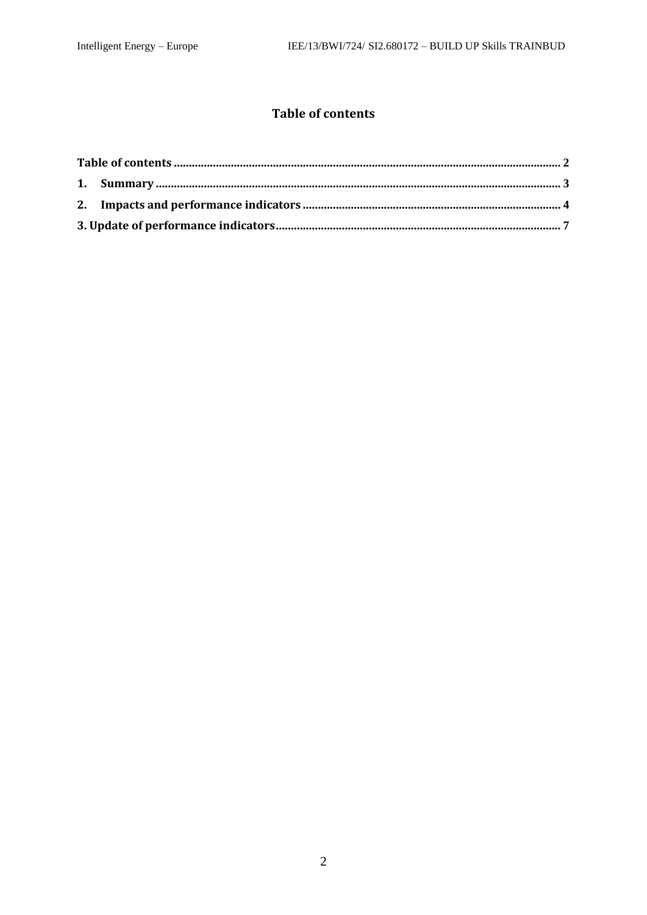### **Table of contents**

<span id="page-1-0"></span>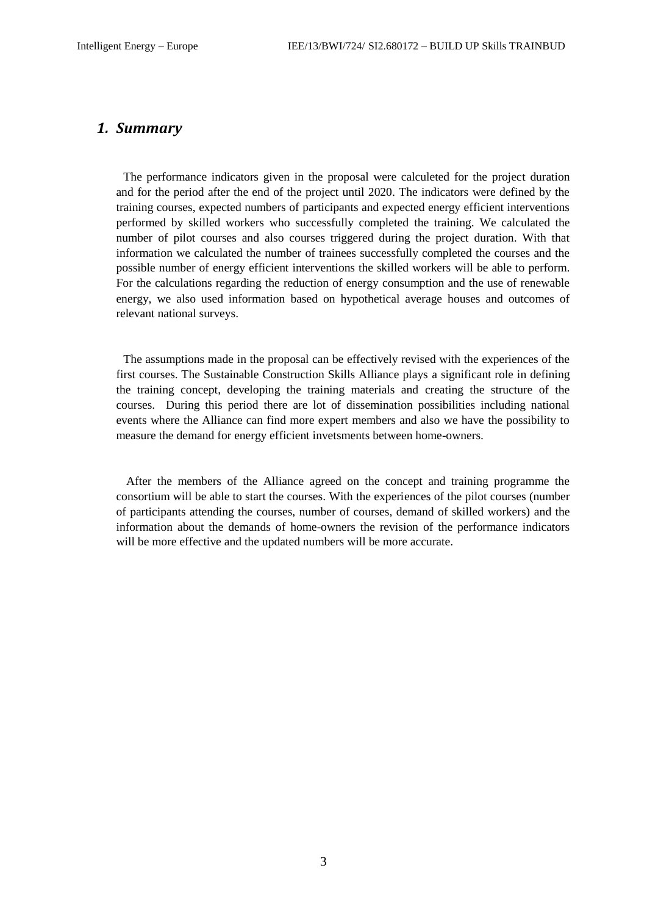#### <span id="page-2-0"></span>*1. Summary*

The performance indicators given in the proposal were calculeted for the project duration and for the period after the end of the project until 2020. The indicators were defined by the training courses, expected numbers of participants and expected energy efficient interventions performed by skilled workers who successfully completed the training. We calculated the number of pilot courses and also courses triggered during the project duration. With that information we calculated the number of trainees successfully completed the courses and the possible number of energy efficient interventions the skilled workers will be able to perform. For the calculations regarding the reduction of energy consumption and the use of renewable energy, we also used information based on hypothetical average houses and outcomes of relevant national surveys.

The assumptions made in the proposal can be effectively revised with the experiences of the first courses. The Sustainable Construction Skills Alliance plays a significant role in defining the training concept, developing the training materials and creating the structure of the courses. During this period there are lot of dissemination possibilities including national events where the Alliance can find more expert members and also we have the possibility to measure the demand for energy efficient invetsments between home-owners.

After the members of the Alliance agreed on the concept and training programme the consortium will be able to start the courses. With the experiences of the pilot courses (number of participants attending the courses, number of courses, demand of skilled workers) and the information about the demands of home-owners the revision of the performance indicators will be more effective and the updated numbers will be more accurate.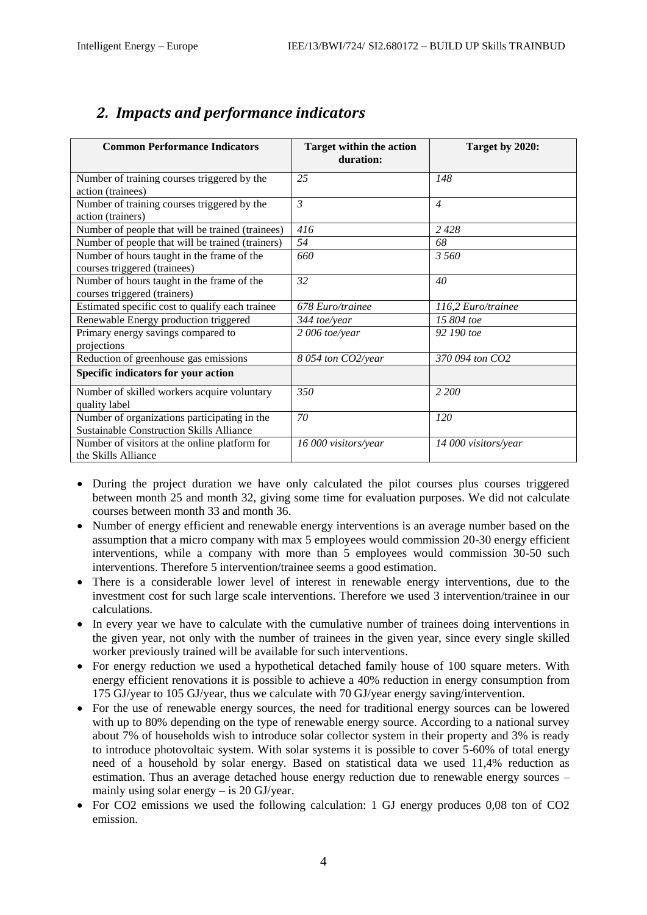| <b>Common Performance Indicators</b>                                                            | <b>Target within the action</b><br>duration: | Target by 2020:      |  |  |
|-------------------------------------------------------------------------------------------------|----------------------------------------------|----------------------|--|--|
| Number of training courses triggered by the<br>action (trainees)                                | 25                                           | 148                  |  |  |
| Number of training courses triggered by the<br>action (trainers)                                | $\mathfrak{Z}$                               | $\overline{4}$       |  |  |
| Number of people that will be trained (trainees)                                                | 416                                          | 2 4 2 8              |  |  |
| Number of people that will be trained (trainers)                                                | 54                                           | 68                   |  |  |
| Number of hours taught in the frame of the<br>courses triggered (trainees)                      | 660                                          | 3.560                |  |  |
| Number of hours taught in the frame of the<br>courses triggered (trainers)                      | 32                                           | 40                   |  |  |
| Estimated specific cost to qualify each trainee                                                 | 678 Euro/trainee                             | 116,2 Euro/trainee   |  |  |
| Renewable Energy production triggered                                                           | 344 toe/year                                 | 15 804 toe           |  |  |
| Primary energy savings compared to<br>projections                                               | $2006$ toe/year                              | 92 190 toe           |  |  |
| Reduction of greenhouse gas emissions                                                           | 8 054 ton CO2/year                           | 370 094 ton CO2      |  |  |
| Specific indicators for your action                                                             |                                              |                      |  |  |
| Number of skilled workers acquire voluntary<br>quality label                                    | 350                                          | 2 200                |  |  |
| Number of organizations participating in the<br><b>Sustainable Construction Skills Alliance</b> | 70                                           | 120                  |  |  |
| Number of visitors at the online platform for<br>the Skills Alliance                            | 16 000 visitors/year                         | 14 000 visitors/year |  |  |

## <span id="page-3-0"></span>*2. Impacts and performance indicators*

- During the project duration we have only calculated the pilot courses plus courses triggered between month 25 and month 32, giving some time for evaluation purposes. We did not calculate courses between month 33 and month 36.
- Number of energy efficient and renewable energy interventions is an average number based on the assumption that a micro company with max 5 employees would commission 20-30 energy efficient interventions, while a company with more than 5 employees would commission 30-50 such interventions. Therefore 5 intervention/trainee seems a good estimation.
- There is a considerable lower level of interest in renewable energy interventions, due to the investment cost for such large scale interventions. Therefore we used 3 intervention/trainee in our calculations.
- In every year we have to calculate with the cumulative number of trainees doing interventions in the given year, not only with the number of trainees in the given year, since every single skilled worker previously trained will be available for such interventions.
- For energy reduction we used a hypothetical detached family house of 100 square meters. With energy efficient renovations it is possible to achieve a 40% reduction in energy consumption from 175 GJ/year to 105 GJ/year, thus we calculate with 70 GJ/year energy saving/intervention.
- For the use of renewable energy sources, the need for traditional energy sources can be lowered with up to 80% depending on the type of renewable energy source. According to a national survey about 7% of households wish to introduce solar collector system in their property and 3% is ready to introduce photovoltaic system. With solar systems it is possible to cover 5-60% of total energy need of a household by solar energy. Based on statistical data we used 11,4% reduction as estimation. Thus an average detached house energy reduction due to renewable energy sources – mainly using solar energy – is 20 GJ/year.
- For CO2 emissions we used the following calculation: 1 GJ energy produces 0,08 ton of CO2 emission.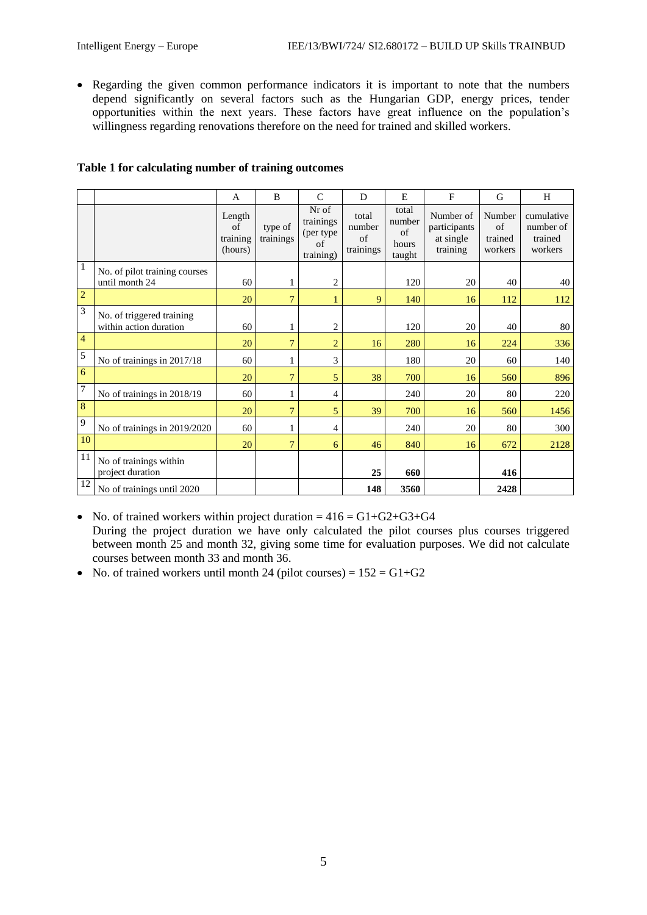• Regarding the given common performance indicators it is important to note that the numbers depend significantly on several factors such as the Hungarian GDP, energy prices, tender opportunities within the next years. These factors have great influence on the population's willingness regarding renovations therefore on the need for trained and skilled workers.

|                 |                                                     | A                                   | B                    | $\mathcal{C}$                                      | D                                  | E                                        | $\mathbf{F}$                                       | G                                  | H                                             |
|-----------------|-----------------------------------------------------|-------------------------------------|----------------------|----------------------------------------------------|------------------------------------|------------------------------------------|----------------------------------------------------|------------------------------------|-----------------------------------------------|
|                 |                                                     | Length<br>of<br>training<br>(hours) | type of<br>trainings | Nr of<br>trainings<br>(per type<br>of<br>training) | total<br>number<br>of<br>trainings | total<br>number<br>of<br>hours<br>taught | Number of<br>participants<br>at single<br>training | Number<br>of<br>trained<br>workers | cumulative<br>number of<br>trained<br>workers |
| $\overline{1}$  | No. of pilot training courses<br>until month 24     | 60                                  | 1                    | $\overline{2}$                                     |                                    | 120                                      | 20                                                 | 40                                 | 40                                            |
| $\overline{2}$  |                                                     | 20                                  | 7                    | 1                                                  | 9                                  | 140                                      | 16                                                 | 112                                | 112                                           |
| $\overline{3}$  | No. of triggered training<br>within action duration | 60                                  | 1                    | $\overline{2}$                                     |                                    | 120                                      | 20                                                 | 40                                 | 80                                            |
| $\overline{4}$  |                                                     | 20                                  | $\overline{7}$       | $\overline{2}$                                     | 16                                 | 280                                      | 16                                                 | 224                                | 336                                           |
| 5               | No of trainings in 2017/18                          | 60                                  | 1                    | 3                                                  |                                    | 180                                      | 20                                                 | 60                                 | 140                                           |
| $6\overline{6}$ |                                                     | 20                                  | $\overline{7}$       | 5                                                  | 38                                 | 700                                      | 16                                                 | 560                                | 896                                           |
| $\overline{7}$  | No of trainings in 2018/19                          | 60                                  | 1                    | 4                                                  |                                    | 240                                      | 20                                                 | 80                                 | 220                                           |
| $\overline{8}$  |                                                     | 20                                  | $\overline{7}$       | 5                                                  | 39                                 | 700                                      | 16                                                 | 560                                | 1456                                          |
| $\overline{9}$  | No of trainings in 2019/2020                        | 60                                  | 1                    | 4                                                  |                                    | 240                                      | 20                                                 | 80                                 | 300                                           |
| $\overline{10}$ |                                                     | 20                                  | $\overline{7}$       | 6                                                  | 46                                 | 840                                      | 16                                                 | 672                                | 2128                                          |
| 11              | No of trainings within<br>project duration          |                                     |                      |                                                    | 25                                 | 660                                      |                                                    | 416                                |                                               |
| $\overline{12}$ | No of trainings until 2020                          |                                     |                      |                                                    | 148                                | 3560                                     |                                                    | 2428                               |                                               |

#### **Table 1 for calculating number of training outcomes**

• No. of trained workers within project duration  $= 416 = G1 + G2 + G3 + G4$ During the project duration we have only calculated the pilot courses plus courses triggered between month 25 and month 32, giving some time for evaluation purposes. We did not calculate courses between month 33 and month 36.

• No. of trained workers until month 24 (pilot courses) =  $152 = G1+G2$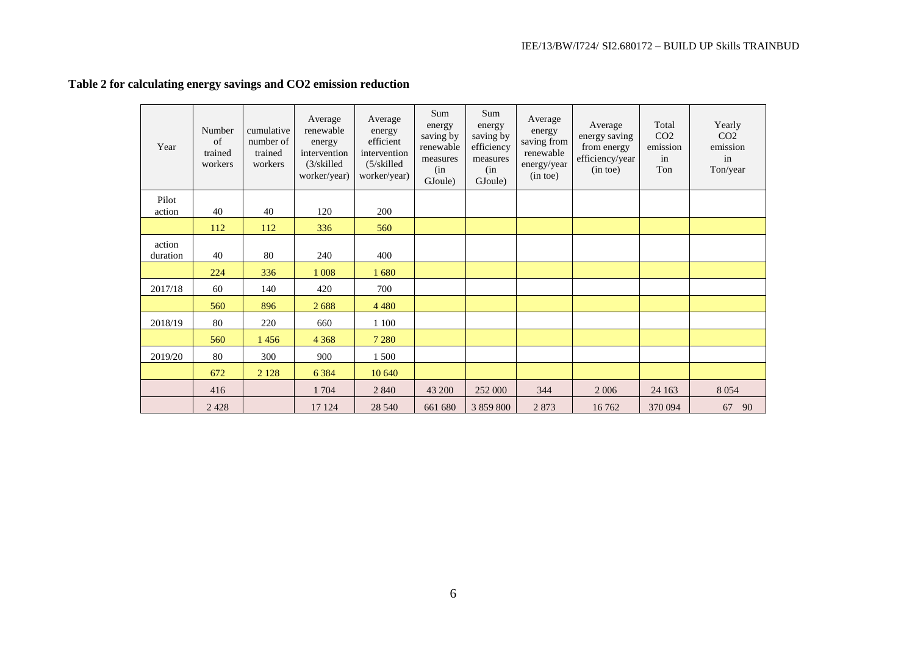| Year     | Number<br>of<br>trained<br>workers | cumulative<br>number of<br>trained<br>workers | Average<br>renewable<br>energy<br>intervention<br>(3/skilled<br>worker/year) | Average<br>energy<br>efficient<br>intervention<br>(5/skilled)<br>worker/year) | Sum<br>energy<br>saving by<br>renewable<br>measures<br>(in)<br>GJoule) | Sum<br>energy<br>saving by<br>efficiency<br>measures<br>(in<br>GJoule) | Average<br>energy<br>saving from<br>renewable<br>energy/year<br>(in toe) | Average<br>energy saving<br>from energy<br>efficiency/year<br>(in toe) | Total<br>CO <sub>2</sub><br>emission<br>in<br>Ton | Yearly<br>CO <sub>2</sub><br>emission<br>in<br>Ton/year |
|----------|------------------------------------|-----------------------------------------------|------------------------------------------------------------------------------|-------------------------------------------------------------------------------|------------------------------------------------------------------------|------------------------------------------------------------------------|--------------------------------------------------------------------------|------------------------------------------------------------------------|---------------------------------------------------|---------------------------------------------------------|
| Pilot    |                                    |                                               |                                                                              |                                                                               |                                                                        |                                                                        |                                                                          |                                                                        |                                                   |                                                         |
| action   | 40                                 | 40                                            | 120                                                                          | 200                                                                           |                                                                        |                                                                        |                                                                          |                                                                        |                                                   |                                                         |
|          | 112                                | 112                                           | 336                                                                          | 560                                                                           |                                                                        |                                                                        |                                                                          |                                                                        |                                                   |                                                         |
| action   |                                    |                                               |                                                                              |                                                                               |                                                                        |                                                                        |                                                                          |                                                                        |                                                   |                                                         |
| duration | 40                                 | 80                                            | 240                                                                          | 400                                                                           |                                                                        |                                                                        |                                                                          |                                                                        |                                                   |                                                         |
|          | 224                                | 336                                           | 1 0 0 8                                                                      | 1680                                                                          |                                                                        |                                                                        |                                                                          |                                                                        |                                                   |                                                         |
| 2017/18  | 60                                 | 140                                           | 420                                                                          | 700                                                                           |                                                                        |                                                                        |                                                                          |                                                                        |                                                   |                                                         |
|          | 560                                | 896                                           | 2688                                                                         | 4 4 8 0                                                                       |                                                                        |                                                                        |                                                                          |                                                                        |                                                   |                                                         |
| 2018/19  | 80                                 | 220                                           | 660                                                                          | 1 100                                                                         |                                                                        |                                                                        |                                                                          |                                                                        |                                                   |                                                         |
|          | 560                                | 1456                                          | 4 3 6 8                                                                      | 7 2 8 0                                                                       |                                                                        |                                                                        |                                                                          |                                                                        |                                                   |                                                         |
| 2019/20  | 80                                 | 300                                           | 900                                                                          | 1 500                                                                         |                                                                        |                                                                        |                                                                          |                                                                        |                                                   |                                                         |
|          | 672                                | 2 1 2 8                                       | 6 3 8 4                                                                      | 10 640                                                                        |                                                                        |                                                                        |                                                                          |                                                                        |                                                   |                                                         |
|          | 416                                |                                               | 1704                                                                         | 2 8 4 0                                                                       | 43 200                                                                 | 252 000                                                                | 344                                                                      | 2 0 0 6                                                                | 24 163                                            | 8 0 5 4                                                 |
|          | 2428                               |                                               | 17 124                                                                       | 28 540                                                                        | 661 680                                                                | 3 859 800                                                              | 2873                                                                     | 16762                                                                  | 370 094                                           | 67<br>90                                                |

### **Table 2 for calculating energy savings and CO2 emission reduction**